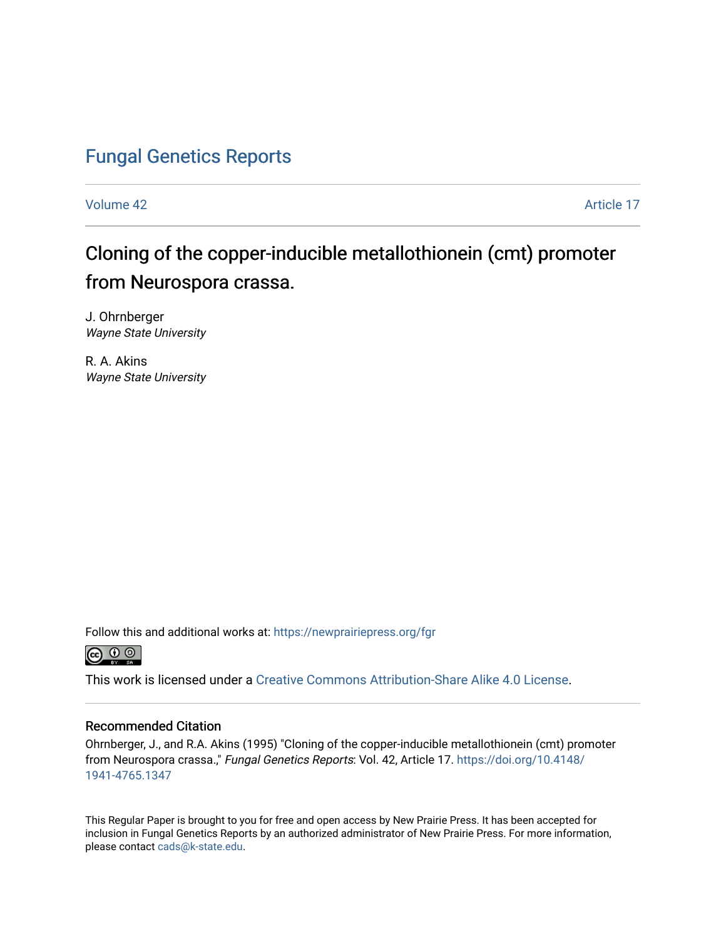# [Fungal Genetics Reports](https://newprairiepress.org/fgr)

[Volume 42](https://newprairiepress.org/fgr/vol42) Article 17

# Cloning of the copper-inducible metallothionein (cmt) promoter from Neurospora crassa.

J. Ohrnberger Wayne State University

R. A. Akins Wayne State University

Follow this and additional works at: [https://newprairiepress.org/fgr](https://newprairiepress.org/fgr?utm_source=newprairiepress.org%2Ffgr%2Fvol42%2Fiss1%2F17&utm_medium=PDF&utm_campaign=PDFCoverPages) 



This work is licensed under a [Creative Commons Attribution-Share Alike 4.0 License.](https://creativecommons.org/licenses/by-sa/4.0/)

#### Recommended Citation

Ohrnberger, J., and R.A. Akins (1995) "Cloning of the copper-inducible metallothionein (cmt) promoter from Neurospora crassa.," Fungal Genetics Reports: Vol. 42, Article 17. [https://doi.org/10.4148/](https://doi.org/10.4148/1941-4765.1347) [1941-4765.1347](https://doi.org/10.4148/1941-4765.1347) 

This Regular Paper is brought to you for free and open access by New Prairie Press. It has been accepted for inclusion in Fungal Genetics Reports by an authorized administrator of New Prairie Press. For more information, please contact [cads@k-state.edu.](mailto:cads@k-state.edu)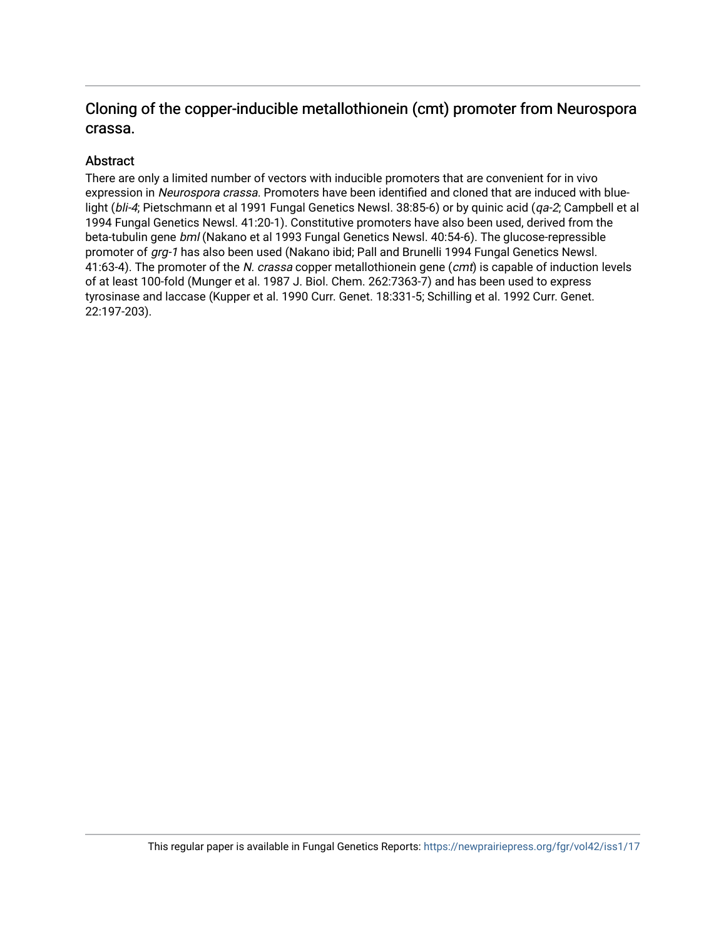## Cloning of the copper-inducible metallothionein (cmt) promoter from Neurospora crassa.

#### Abstract

There are only a limited number of vectors with inducible promoters that are convenient for in vivo expression in Neurospora crassa. Promoters have been identified and cloned that are induced with bluelight (bli-4; Pietschmann et al 1991 Fungal Genetics Newsl. 38:85-6) or by quinic acid (qa-2; Campbell et al 1994 Fungal Genetics Newsl. 41:20-1). Constitutive promoters have also been used, derived from the beta-tubulin gene bml (Nakano et al 1993 Fungal Genetics Newsl. 40:54-6). The glucose-repressible promoter of grg-1 has also been used (Nakano ibid; Pall and Brunelli 1994 Fungal Genetics Newsl. 41:63-4). The promoter of the N. crassa copper metallothionein gene (cmt) is capable of induction levels of at least 100-fold (Munger et al. 1987 J. Biol. Chem. 262:7363-7) and has been used to express tyrosinase and laccase (Kupper et al. 1990 Curr. Genet. 18:331-5; Schilling et al. 1992 Curr. Genet. 22:197-203).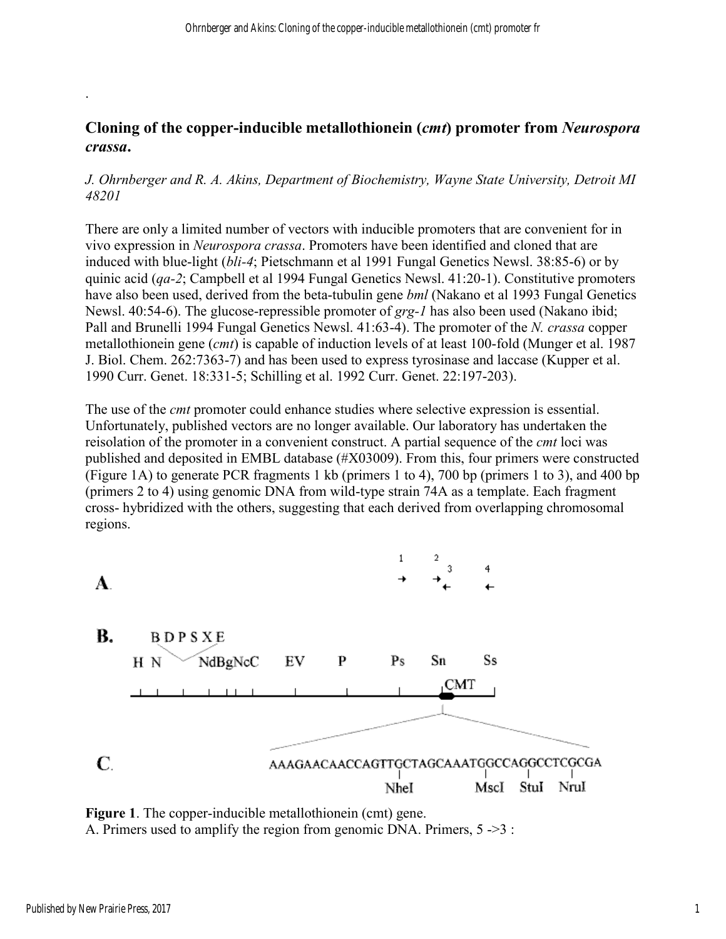### **Cloning of the copper-inducible metallothionein (***cmt***) promoter from** *Neurospora crassa***.**

#### *J. Ohrnberger and R. A. Akins, Department of Biochemistry, Wayne State University, Detroit MI 48201*

There are only a limited number of vectors with inducible promoters that are convenient for in vivo expression in *Neurospora crassa*. Promoters have been identified and cloned that are induced with blue-light (*bli-4*; Pietschmann et al 1991 Fungal Genetics Newsl. 38:85-6) or by quinic acid (*qa-2*; Campbell et al 1994 Fungal Genetics Newsl. 41:20-1). Constitutive promoters have also been used, derived from the beta-tubulin gene *bml* (Nakano et al 1993 Fungal Genetics Newsl. 40:54-6). The glucose-repressible promoter of *grg-1* has also been used (Nakano ibid; Pall and Brunelli 1994 Fungal Genetics Newsl. 41:63-4). The promoter of the *N. crassa* copper metallothionein gene (*cmt*) is capable of induction levels of at least 100-fold (Munger et al. 1987 J. Biol. Chem. 262:7363-7) and has been used to express tyrosinase and laccase (Kupper et al. 1990 Curr. Genet. 18:331-5; Schilling et al. 1992 Curr. Genet. 22:197-203).

The use of the *cmt* promoter could enhance studies where selective expression is essential. Unfortunately, published vectors are no longer available. Our laboratory has undertaken the reisolation of the promoter in a convenient construct. A partial sequence of the *cmt* loci was published and deposited in EMBL database (#X03009). From this, four primers were constructed (Figure 1A) to generate PCR fragments 1 kb (primers 1 to 4), 700 bp (primers 1 to 3), and 400 bp (primers 2 to 4) using genomic DNA from wild-type strain 74A as a template. Each fragment cross- hybridized with the others, suggesting that each derived from overlapping chromosomal regions.



**Figure 1**. The copper-inducible metallothionein (cmt) gene. A. Primers used to amplify the region from genomic DNA. Primers, 5 ->3 :

.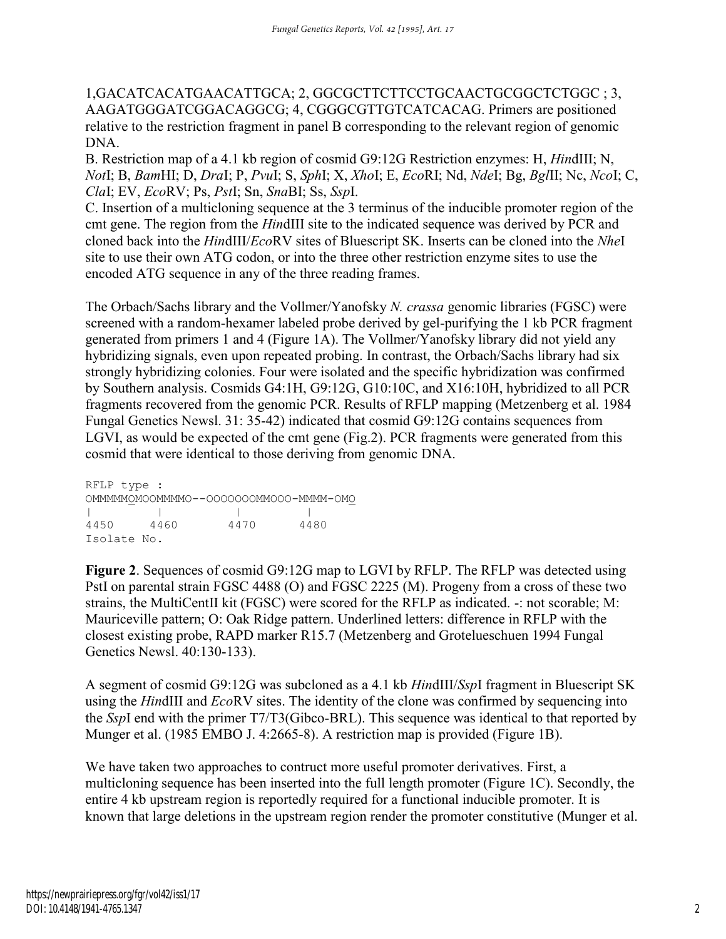1,GACATCACATGAACATTGCA; 2, GGCGCTTCTTCCTGCAACTGCGGCTCTGGC ; 3, AAGATGGGATCGGACAGGCG; 4, CGGGCGTTGTCATCACAG. Primers are positioned relative to the restriction fragment in panel B corresponding to the relevant region of genomic DNA.

B. Restriction map of a 4.1 kb region of cosmid G9:12G Restriction enzymes: H, *Hin*dIII; N, *Not*I; B, *Bam*HI; D, *Dra*I; P, *Pvu*I; S, *Sph*I; X, *Xho*I; E, *Eco*RI; Nd, *Nde*I; Bg, *Bgl*II; Nc, *Nco*I; C, *Cla*I; EV, *Eco*RV; Ps, *Pst*I; Sn, *Sna*BI; Ss, *Ssp*I.

C. Insertion of a multicloning sequence at the 3 terminus of the inducible promoter region of the cmt gene. The region from the *Hin*dIII site to the indicated sequence was derived by PCR and cloned back into the *Hin*dIII/*Eco*RV sites of Bluescript SK. Inserts can be cloned into the *Nhe*I site to use their own ATG codon, or into the three other restriction enzyme sites to use the encoded ATG sequence in any of the three reading frames.

The Orbach/Sachs library and the Vollmer/Yanofsky *N. crassa* genomic libraries (FGSC) were screened with a random-hexamer labeled probe derived by gel-purifying the 1 kb PCR fragment generated from primers 1 and 4 (Figure 1A). The Vollmer/Yanofsky library did not yield any hybridizing signals, even upon repeated probing. In contrast, the Orbach/Sachs library had six strongly hybridizing colonies. Four were isolated and the specific hybridization was confirmed by Southern analysis. Cosmids G4:1H, G9:12G, G10:10C, and X16:10H, hybridized to all PCR fragments recovered from the genomic PCR. Results of RFLP mapping (Metzenberg et al. 1984 Fungal Genetics Newsl. 31: 35-42) indicated that cosmid G9:12G contains sequences from LGVI, as would be expected of the cmt gene (Fig.2). PCR fragments were generated from this cosmid that were identical to those deriving from genomic DNA.

RFLP type : OMMMMMOMOOMMMMO--OOOOOOOMMOOO-MMMM-OMO | | | | 4450 4460 4470 4480 Isolate No.

**Figure 2**. Sequences of cosmid G9:12G map to LGVI by RFLP. The RFLP was detected using PstI on parental strain FGSC 4488 (O) and FGSC 2225 (M). Progeny from a cross of these two strains, the MultiCentII kit (FGSC) were scored for the RFLP as indicated. -: not scorable; M: Mauriceville pattern; O: Oak Ridge pattern. Underlined letters: difference in RFLP with the closest existing probe, RAPD marker R15.7 (Metzenberg and Grotelueschuen 1994 Fungal Genetics Newsl. 40:130-133).

A segment of cosmid G9:12G was subcloned as a 4.1 kb *Hin*dIII/*Ssp*I fragment in Bluescript SK using the *Hin*dIII and *Eco*RV sites. The identity of the clone was confirmed by sequencing into the *Ssp*I end with the primer T7/T3(Gibco-BRL). This sequence was identical to that reported by Munger et al. (1985 EMBO J. 4:2665-8). A restriction map is provided (Figure 1B).

We have taken two approaches to contruct more useful promoter derivatives. First, a multicloning sequence has been inserted into the full length promoter (Figure 1C). Secondly, the entire 4 kb upstream region is reportedly required for a functional inducible promoter. It is known that large deletions in the upstream region render the promoter constitutive (Munger et al.